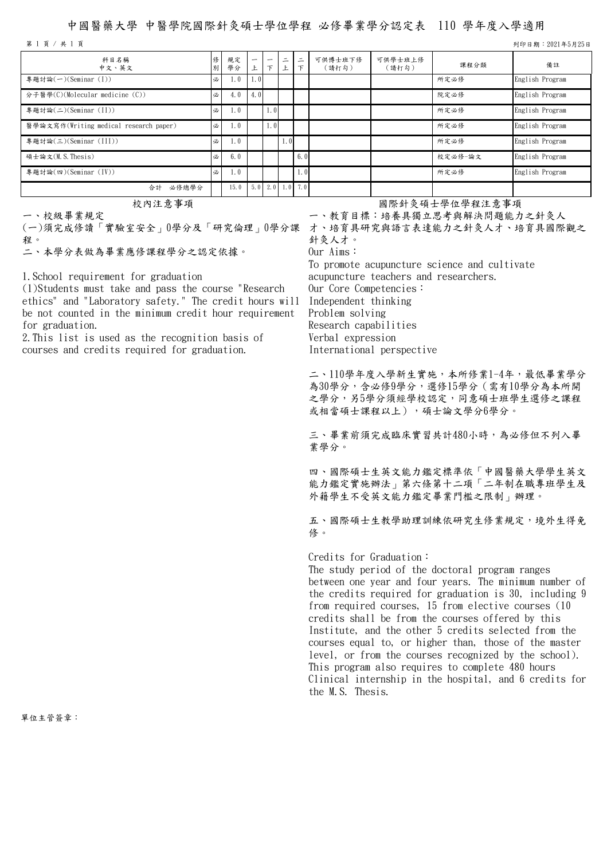## 中國醫藥大學 中醫學院國際針灸碩士學位學程 必修畢業學分認定表 110 學年度入學適用

第 1 頁 / 共 1 頁 列印日期:2021年5月25日

| 科目名稱<br>中文、英文                          | 別 | 規定<br>學分 | –                | $\overline{\phantom{0}}$<br>$\tau$ | $\overline{\phantom{0}}$<br>—<br>上 | $\equiv$<br>$\tau$ | 可供博士班下修<br>(請打勾) | 可供學士班上修<br>(請打勾) | 課程分類    | 備註              |
|----------------------------------------|---|----------|------------------|------------------------------------|------------------------------------|--------------------|------------------|------------------|---------|-----------------|
| 專題討論(一)(Seminar (I))                   | 必 | 1.0      | 1.0 <sub>l</sub> |                                    |                                    |                    |                  |                  | 所定必修    | English Program |
| 分子醫學(C)(Molecular medicine (C))        | 必 | 4.0      | 4.0              |                                    |                                    |                    |                  |                  | 院定必修    | English Program |
| 專題討論(二)(Seminar (II))                  | 必 | 1.0      |                  | 1.01                               |                                    |                    |                  |                  | 所定必修    | English Program |
| 醫學論文寫作(Writing medical research paper) | 必 | 1.0      |                  | 1.0                                |                                    |                    |                  |                  | 所定必修    | English Program |
| 專題討論(三)(Seminar (III))                 | 必 | 1.0      |                  |                                    | 1.0 <sub>l</sub>                   |                    |                  |                  | 所定必修    | English Program |
| 碩士論文(M.S.Thesis)                       | 必 | 6.0      |                  |                                    |                                    | 6.01               |                  |                  | 校定必修-論文 | English Program |
| 專題討論(四)(Seminar (IV))                  | 必 | 1.0      |                  |                                    |                                    | 1.0                |                  |                  | 所定必修    | English Program |
| 必修總學分<br>合計                            |   | 15.0     |                  |                                    | $5.0$   2.0   1.0   7.0            |                    |                  |                  |         |                 |

一、校級畢業規定

(一)須完成修讀「實驗室安全」0學分及「研究倫理」0學分課 才、培育具研究與語言表達能力之針灸人才、培育具國際觀之 程。<br>二、本學分表做為畢業應修課程學分之認定依據。

1.School requirement for graduation

(1)Students must take and pass the course "Research ethics" and "Laboratory safety." The credit hours will be not counted in the minimum credit hour requirement for graduation.

2.This list is used as the recognition basis of courses and credits required for graduation.

## 校內注意事項 初期 医二十二十二十二十二十一 國際針灸碩士學位學程注意事項

一、教育目標:培養具獨立思考與解決問題能力之針灸人 針灸人才。 Our Aims: To promote acupuncture science and cultivate

acupuncture teachers and researchers. Our Core Competencies: Independent thinking Problem solving Research capabilities Verbal expression International perspective

二、110學年度入學新生實施,本所修業1-4年,最低畢業學分 為30學分,含必修9學分,選修15學分(需有10學分為本所開 之學分,另5學分須經學校認定,同意碩士班學生選修之課程 或相當碩士課程以上),碩士論文學分6學分。

三、畢業前須完成臨床實習共計480小時,為必修但不列入畢 業學分。

四、國際碩士生英文能力鑑定標準依「中國醫藥大學學生英文 能力鑑定實施辦法」第六條第十二項「二年制在職專班學生及 外籍學生不受英文能力鑑定畢業門檻之限制」辦理。

五、國際碩士生教學助理訓練依研究生修業規定,境外生得免 修。

Credits for Graduation:

The study period of the doctoral program ranges between one year and four years. The minimum number of the credits required for graduation is 30, including 9 from required courses, 15 from elective courses (10 credits shall be from the courses offered by this Institute, and the other 5 credits selected from the courses equal to, or higher than, those of the master level, or from the courses recognized by the school). This program also requires to complete 480 hours Clinical internship in the hospital, and 6 credits for the M.S. Thesis.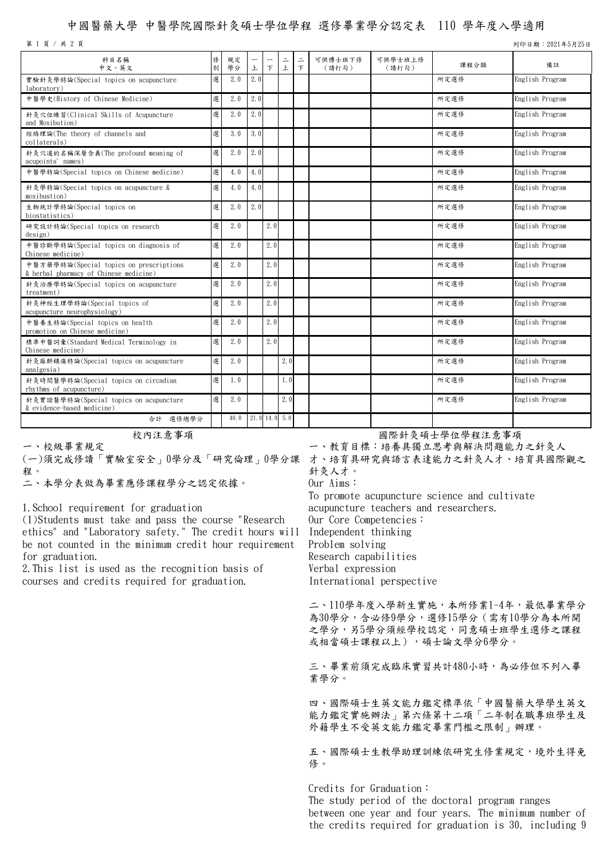## 中國醫藥大學 中醫學院國際針灸碩士學位學程 選修畢業學分認定表 110 學年度入學適用

第 1 頁 / 共 2 頁 列印日期:2021年5月25日

| 科目名稱<br>中文、英文                                                                     | 俢<br>別 | 規定<br>學分 | 上   | $\top$          | $\equiv$<br>上 | $\equiv$<br>$\top$ | 可供博士班下修<br>(請打勾) | 可供學士班上修<br>(請打勾) | 課程分類 | 備註              |
|-----------------------------------------------------------------------------------|--------|----------|-----|-----------------|---------------|--------------------|------------------|------------------|------|-----------------|
| 實驗針灸學特論(Special topics on acupuncture<br>laboratory)                              | 選      | 2.0      | 2.0 |                 |               |                    |                  |                  | 所定選修 | English Program |
| 中醫學史(History of Chinese Medicine)                                                 | 選      | 2.0      | 2.0 |                 |               |                    |                  |                  | 所定選修 | English Program |
| 針灸穴位練習(Clinical Skills of Acupuncture<br>and Moxibution)                          | 選      | 2.0      | 2.0 |                 |               |                    |                  |                  | 所定選修 | English Program |
| 經絡理論(The theory of channels and<br>collaterals)                                   | 選      | 3.0      | 3.0 |                 |               |                    |                  |                  | 所定選修 | English Program |
| 針灸穴道的名稱深層含義(The profound meaning of<br>acupoints' names)                          | 選      | 2.0      | 2.0 |                 |               |                    |                  |                  | 所定選修 | English Program |
| 中醫學特論(Special topics on Chinese medicine)                                         | 選      | 4.0      | 4.0 |                 |               |                    |                  |                  | 所定選修 | English Program |
| 針灸學特論(Special topics on acupuncture &<br>moxibustion)                             | 選      | 4.0      | 4.0 |                 |               |                    |                  |                  | 所定選修 | English Program |
| 生物統計學特論(Special topics on<br>biostatistics)                                       | 選      | 2.0      | 2.0 |                 |               |                    |                  |                  | 所定選修 | English Program |
| 研究設計特論(Special topics on research<br>design)                                      | 選      | 2.0      |     | 2.0             |               |                    |                  |                  | 所定選修 | English Program |
| 中醫診斷學特論(Special topics on diagnosis of<br>Chinese medicine)                       | 選      | 2.0      |     | 2.0             |               |                    |                  |                  | 所定選修 | English Program |
| 中醫方藥學特論(Special topics on prescriptions<br>& herbal pharmacy of Chinese medicine) | 選      | 2.0      |     | 2.0             |               |                    |                  |                  | 所定選修 | English Program |
| 針灸治療學特論(Special topics on acupuncture<br>treatment)                               | 選      | 2.0      |     | 2.0             |               |                    |                  |                  | 所定選修 | English Program |
| 針灸神經生理學特論(Special topics of<br>acupuncture neurophysiology)                       | 選      | 2.0      |     | 2.0             |               |                    |                  |                  | 所定選修 | English Program |
| 中醫養生特論(Special topics on health<br>promotion on Chinese medicine)                 | 選      | 2.0      |     | 2.0             |               |                    |                  |                  | 所定選修 | English Program |
| 標準中醫詞彙(Standard Medical Terminology in<br>Chinese medicine)                       | 選      | 2.0      |     | 2.0             |               |                    |                  |                  | 所定選修 | English Program |
| 針灸麻醉鎮痛特論(Special topics on acupuncture<br>analgesia)                              | 選      | 2.0      |     |                 | 2.0           |                    |                  |                  | 所定選修 | English Program |
| 針灸時間醫學特論(Special topics on circadian<br>rhythms of acupuncture)                   | 選      | 1.0      |     |                 | 1.0           |                    |                  |                  | 所定選修 | English Program |
| 針灸實證醫學特論(Special topics on acupuncture<br>& evidence-based medicine)              | 選      | 2.0      |     |                 | 2.0           |                    |                  |                  | 所定選修 | English Program |
| 合計 選修總學分                                                                          |        | 40.0     |     | $21.0$ 14.0 5.0 |               |                    |                  |                  |      |                 |

一、校級畢業規定

(一)須完成修讀「實驗室安全」0學分及「研究倫理」0學分課 才、培育具研究與語言表達能力之針灸人才、培育具國際觀之

程。<br>二、本學分表做為畢業應修課程學分之認定依據。

1.School requirement for graduation

(1)Students must take and pass the course "Research ethics" and "Laboratory safety." The credit hours will be not counted in the minimum credit hour requirement for graduation.

2.This list is used as the recognition basis of courses and credits required for graduation.

校內注意事項 國際針灸碩士學位學程注意事項

一、教育目標:培養具獨立思考與解決問題能力之針灸人 針灸人才。

Our Aims:

To promote acupuncture science and cultivate acupuncture teachers and researchers. Our Core Competencies: Independent thinking Problem solving Research capabilities Verbal expression International perspective

二、110學年度入學新生實施,本所修業1-4年,最低畢業學分 為30學分,含必修9學分,選修15學分(需有10學分為本所開 之學分,另5學分須經學校認定,同意碩士班學生選修之課程 或相當碩士課程以上),碩士論文學分6學分。

三、畢業前須完成臨床實習共計480小時,為必修但不列入畢 業學分。

四、國際碩士生英文能力鑑定標準依「中國醫藥大學學生英文 能力鑑定實施辦法」第六條第十二項「二年制在職專班學生及 外籍學生不受英文能力鑑定畢業門檻之限制」辦理。

五、國際碩士生教學助理訓練依研究生修業規定,境外生得免 修。

Credits for Graduation: The study period of the doctoral program ranges between one year and four years. The minimum number of the credits required for graduation is 30, including 9